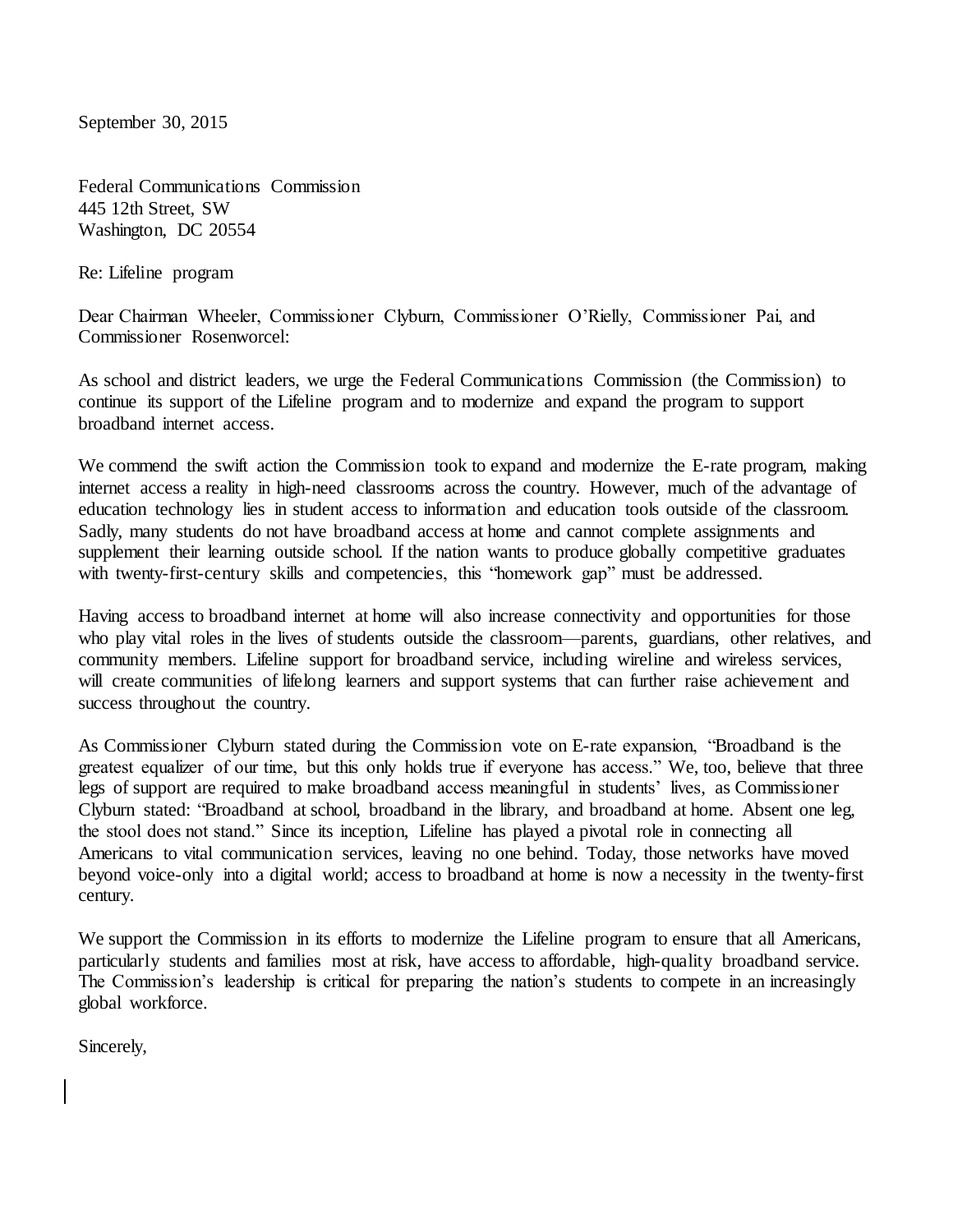September 30, 2015

Federal Communications Commission 445 12th Street, SW Washington, DC 20554

Re: Lifeline program

Dear Chairman Wheeler, Commissioner Clyburn, Commissioner O'Rielly, Commissioner Pai, and Commissioner Rosenworcel:

As school and district leaders, we urge the Federal Communications Commission (the Commission) to continue its support of the Lifeline program and to modernize and expand the program to support broadband internet access.

We commend the swift action the Commission took to expand and modernize the E-rate program, making internet access a reality in high-need classrooms across the country. However, much of the advantage of education technology lies in student access to information and education tools outside of the classroom. Sadly, many students do not have broadband access at home and cannot complete assignments and supplement their learning outside school. If the nation wants to produce globally competitive graduates with twenty-first-century skills and competencies, this "homework gap" must be addressed.

Having access to broadband internet at home will also increase connectivity and opportunities for those who play vital roles in the lives of students outside the classroom—parents, guardians, other relatives, and community members. Lifeline support for broadband service, including wireline and wireless services, will create communities of lifelong learners and support systems that can further raise achievement and success throughout the country.

As Commissioner Clyburn stated during the Commission vote on E-rate expansion, "Broadband is the greatest equalizer of our time, but this only holds true if everyone has access." We, too, believe that three legs of support are required to make broadband access meaningful in students' lives, as Commissioner Clyburn stated: "Broadband at school, broadband in the library, and broadband at home. Absent one leg, the stool does not stand." Since its inception, Lifeline has played a pivotal role in connecting all Americans to vital communication services, leaving no one behind. Today, those networks have moved beyond voice-only into a digital world; access to broadband at home is now a necessity in the twenty-first century.

We support the Commission in its efforts to modernize the Lifeline program to ensure that all Americans, particularly students and families most at risk, have access to affordable, high-quality broadband service. The Commission's leadership is critical for preparing the nation's students to compete in an increasingly global workforce.

Sincerely,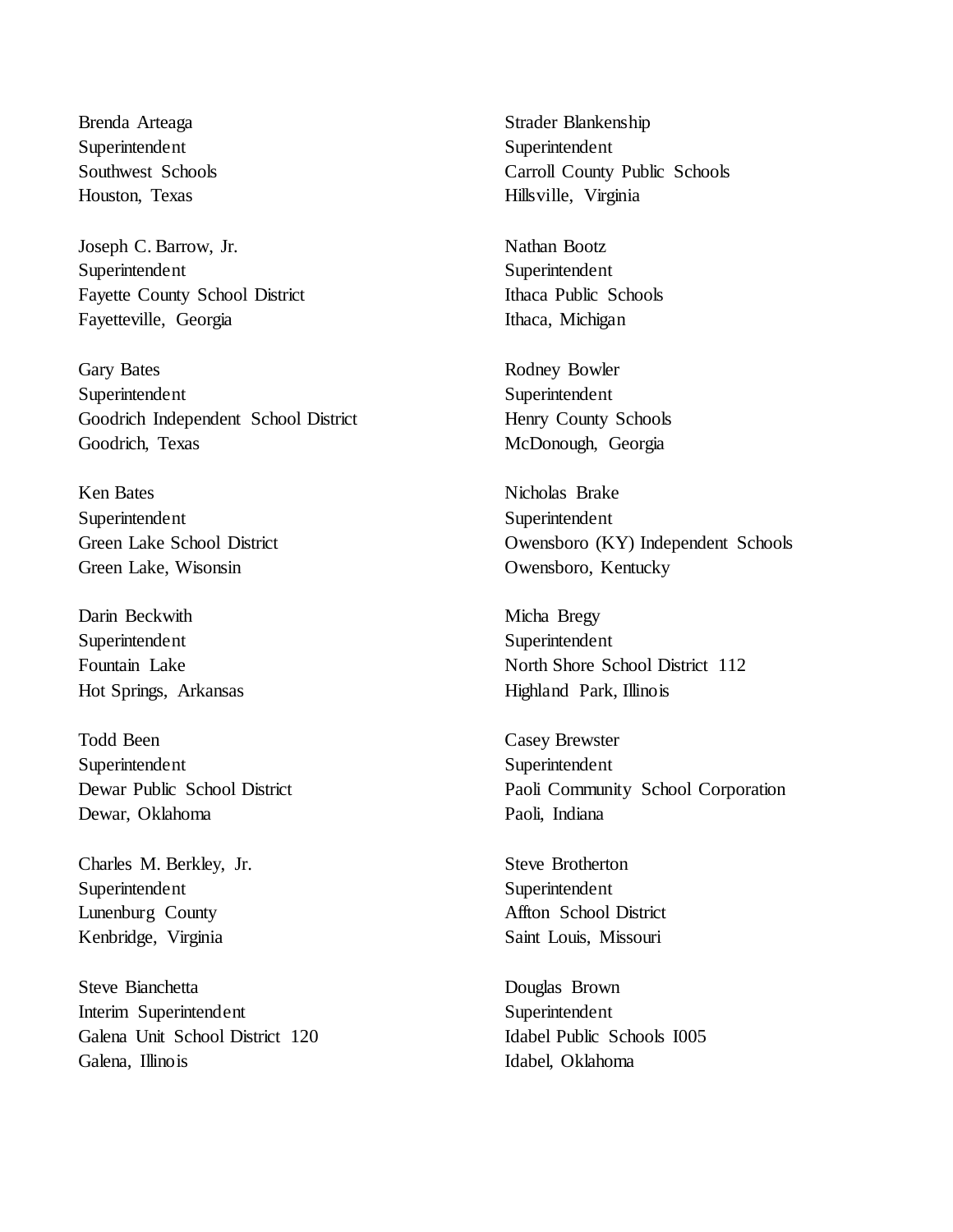Brenda Arteaga Superintendent Southwest Schools Houston, Texas

Joseph C. Barrow, Jr. Superintendent Fayette County School District Fayetteville, Georgia

Gary Bates Superintendent Goodrich Independent School District Goodrich, Texas

Ken Bates Superintendent Green Lake School District Green Lake, Wisonsin

Darin Beckwith Superintendent Fountain Lake Hot Springs, Arkansas

Todd Been Superintendent Dewar Public School District Dewar, Oklahoma

Charles M. Berkley, Jr. Superintendent Lunenburg County Kenbridge, Virginia

Steve Bianchetta Interim Superintendent Galena Unit School District 120 Galena, Illinois

Strader Blankenship Superintendent Carroll County Public Schools Hillsville, Virginia

Nathan Bootz Superintendent Ithaca Public Schools Ithaca, Michigan

Rodney Bowler Superintendent Henry County Schools McDonough, Georgia

Nicholas Brake Superintendent Owensboro (KY) Independent Schools Owensboro, Kentucky

Micha Bregy Superintendent North Shore School District 112 Highland Park, Illinois

Casey Brewster Superintendent Paoli Community School Corporation Paoli, Indiana

Steve Brotherton Superintendent Affton School District Saint Louis, Missouri

Douglas Brown Superintendent Idabel Public Schools I005 Idabel, Oklahoma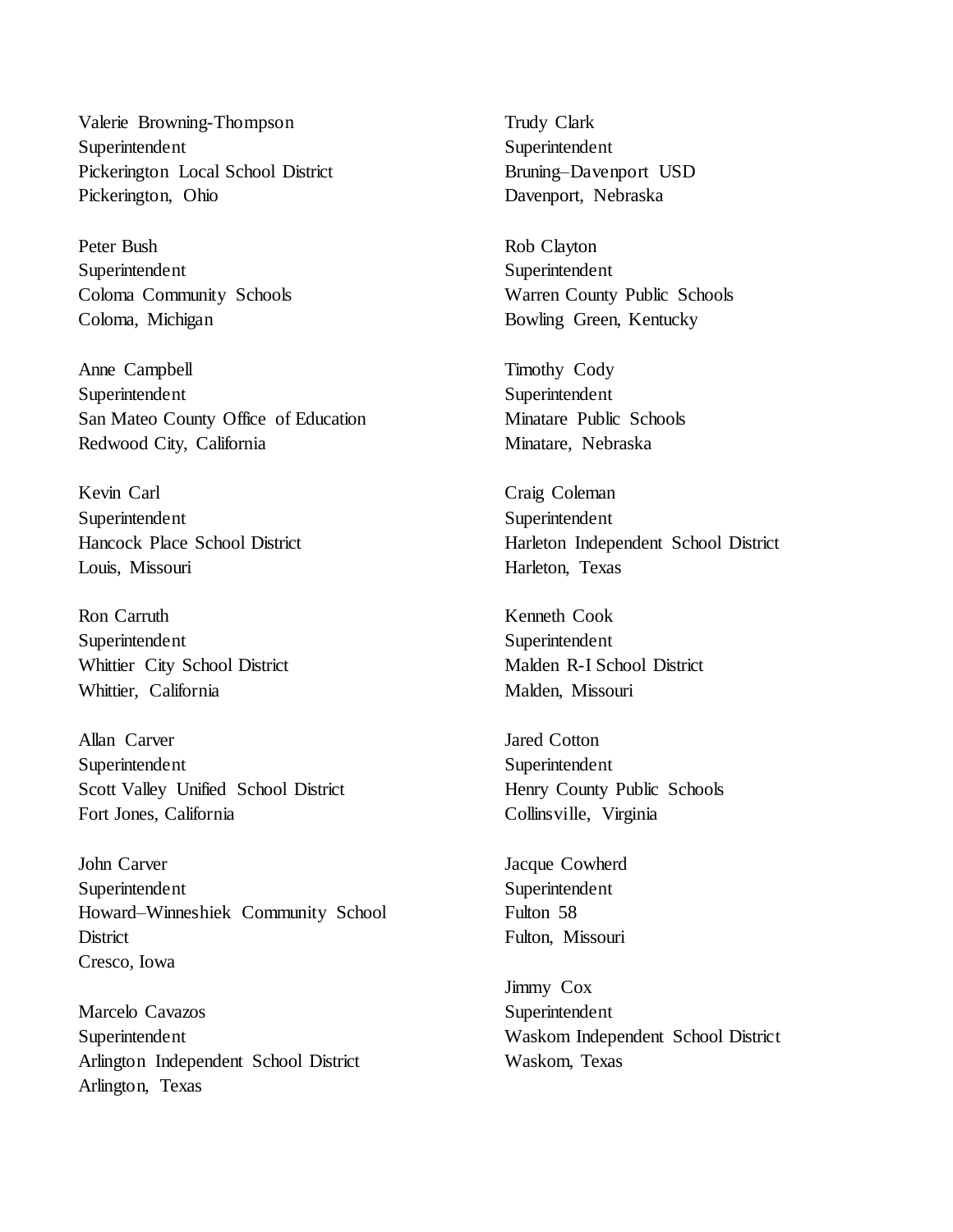Valerie Browning-Thompson Superintendent Pickerington Local School District Pickerington, Ohio

Peter Bush Superintendent Coloma Community Schools Coloma, Michigan

Anne Campbell Superintendent San Mateo County Office of Education Redwood City, California

Kevin Carl Superintendent Hancock Place School District Louis, Missouri

Ron Carruth Superintendent Whittier City School District Whittier, California

Allan Carver Superintendent Scott Valley Unified School District Fort Jones, California

John Carver Superintendent Howard–Winneshiek Community School **District** Cresco, Iowa

Marcelo Cavazos Superintendent Arlington Independent School District Arlington, Texas

Trudy Clark Superintendent Bruning–Davenport USD Davenport, Nebraska

Rob Clayton Superintendent Warren County Public Schools Bowling Green, Kentucky

Timothy Cody Superintendent Minatare Public Schools Minatare, Nebraska

Craig Coleman Superintendent Harleton Independent School District Harleton, Texas

Kenneth Cook Superintendent Malden R-I School District Malden, Missouri

Jared Cotton Superintendent Henry County Public Schools Collinsville, Virginia

Jacque Cowherd Superintendent Fulton 58 Fulton, Missouri

Jimmy Cox Superintendent Waskom Independent School District Waskom, Texas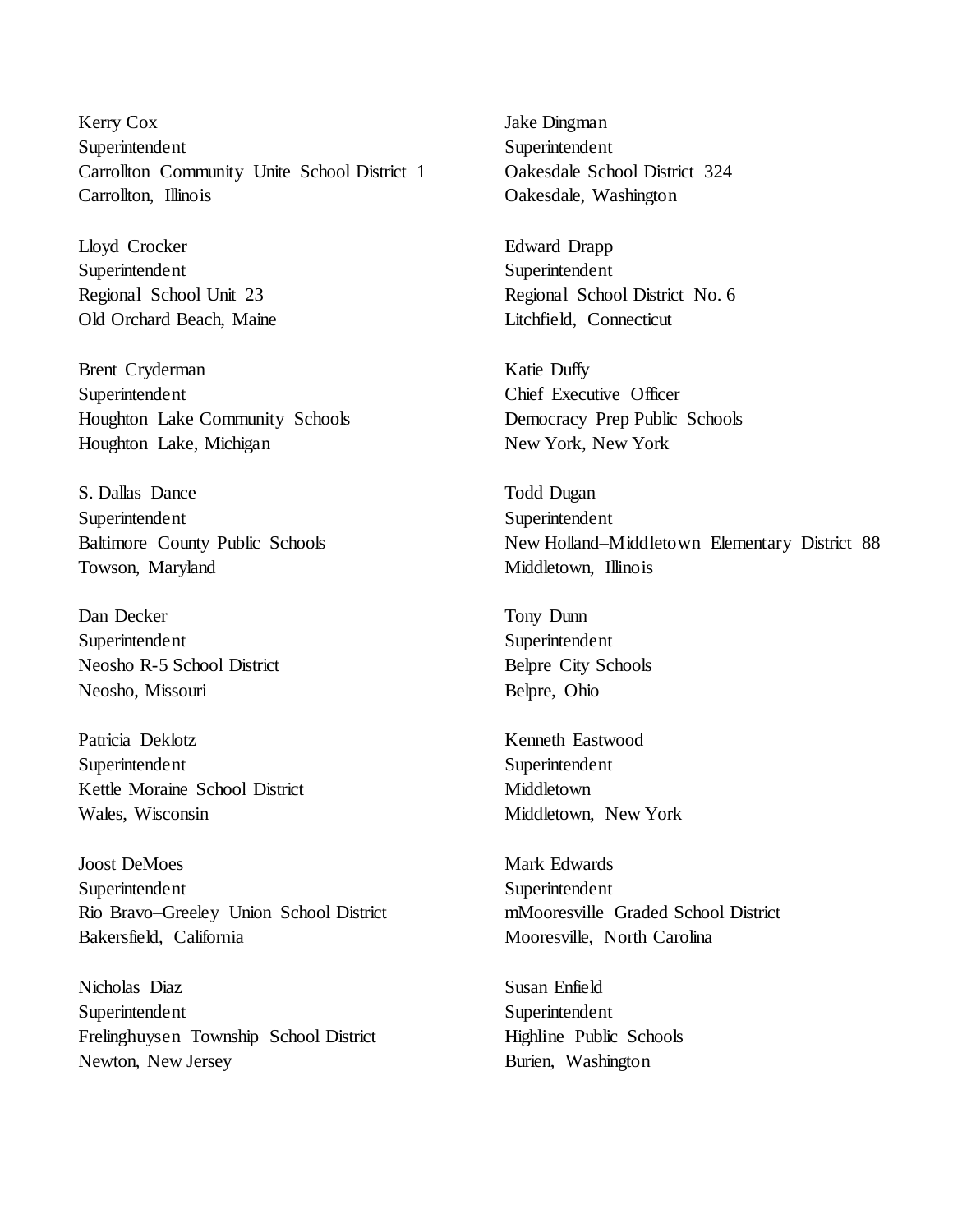Kerry Cox Superintendent Carrollton Community Unite School District 1 Carrollton, Illinois

Lloyd Crocker Superintendent Regional School Unit 23 Old Orchard Beach, Maine

Brent Cryderman Superintendent Houghton Lake Community Schools Houghton Lake, Michigan

S. Dallas Dance Superintendent Baltimore County Public Schools Towson, Maryland

Dan Decker Superintendent Neosho R-5 School District Neosho, Missouri

Patricia Deklotz Superintendent Kettle Moraine School District Wales, Wisconsin

Joost DeMoes Superintendent Rio Bravo–Greeley Union School District Bakersfield, California

Nicholas Diaz Superintendent Frelinghuysen Township School District Newton, New Jersey

Jake Dingman Superintendent Oakesdale School District 324 Oakesdale, Washington

Edward Drapp Superintendent Regional School District No. 6 Litchfield, Connecticut

Katie Duffy Chief Executive Officer Democracy Prep Public Schools New York, New York

Todd Dugan Superintendent New Holland–Middletown Elementary District 88 Middletown, Illinois

Tony Dunn Superintendent Belpre City Schools Belpre, Ohio

Kenneth Eastwood Superintendent Middletown Middletown, New York

Mark Edwards Superintendent mMooresville Graded School District Mooresville, North Carolina

Susan Enfield Superintendent Highline Public Schools Burien, Washington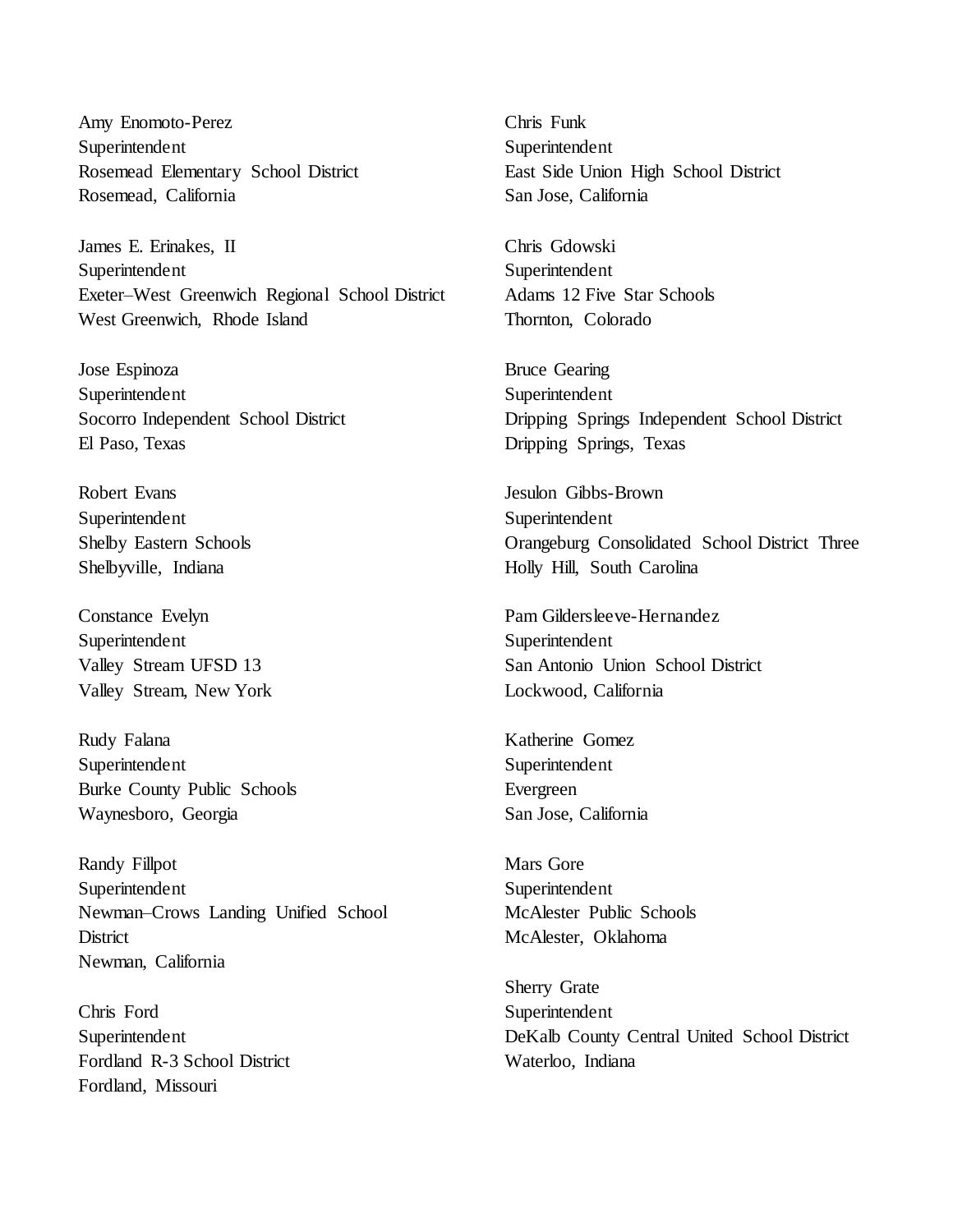Amy Enomoto-Perez Superintendent Rosemead Elementary School District Rosemead, California

James E. Erinakes, II Superintendent Exeter–West Greenwich Regional School District West Greenwich, Rhode Island

Jose Espinoza Superintendent Socorro Independent School District El Paso, Texas

Robert Evans Superintendent Shelby Eastern Schools Shelbyville, Indiana

Constance Evelyn Superintendent Valley Stream UFSD 13 Valley Stream, New York

Rudy Falana Superintendent Burke County Public Schools Waynesboro, Georgia

Randy Fillpot Superintendent Newman–Crows Landing Unified School **District** Newman, California

Chris Ford Superintendent Fordland R-3 School District Fordland, Missouri

Chris Funk Superintendent East Side Union High School District San Jose, California

Chris Gdowski Superintendent Adams 12 Five Star Schools Thornton, Colorado

Bruce Gearing Superintendent Dripping Springs Independent School District Dripping Springs, Texas

Jesulon Gibbs-Brown Superintendent Orangeburg Consolidated School District Three Holly Hill, South Carolina

Pam Gildersleeve-Hernandez Superintendent San Antonio Union School District Lockwood, California

Katherine Gomez Superintendent Evergreen San Jose, California

Mars Gore Superintendent McAlester Public Schools McAlester, Oklahoma

Sherry Grate Superintendent DeKalb County Central United School District Waterloo, Indiana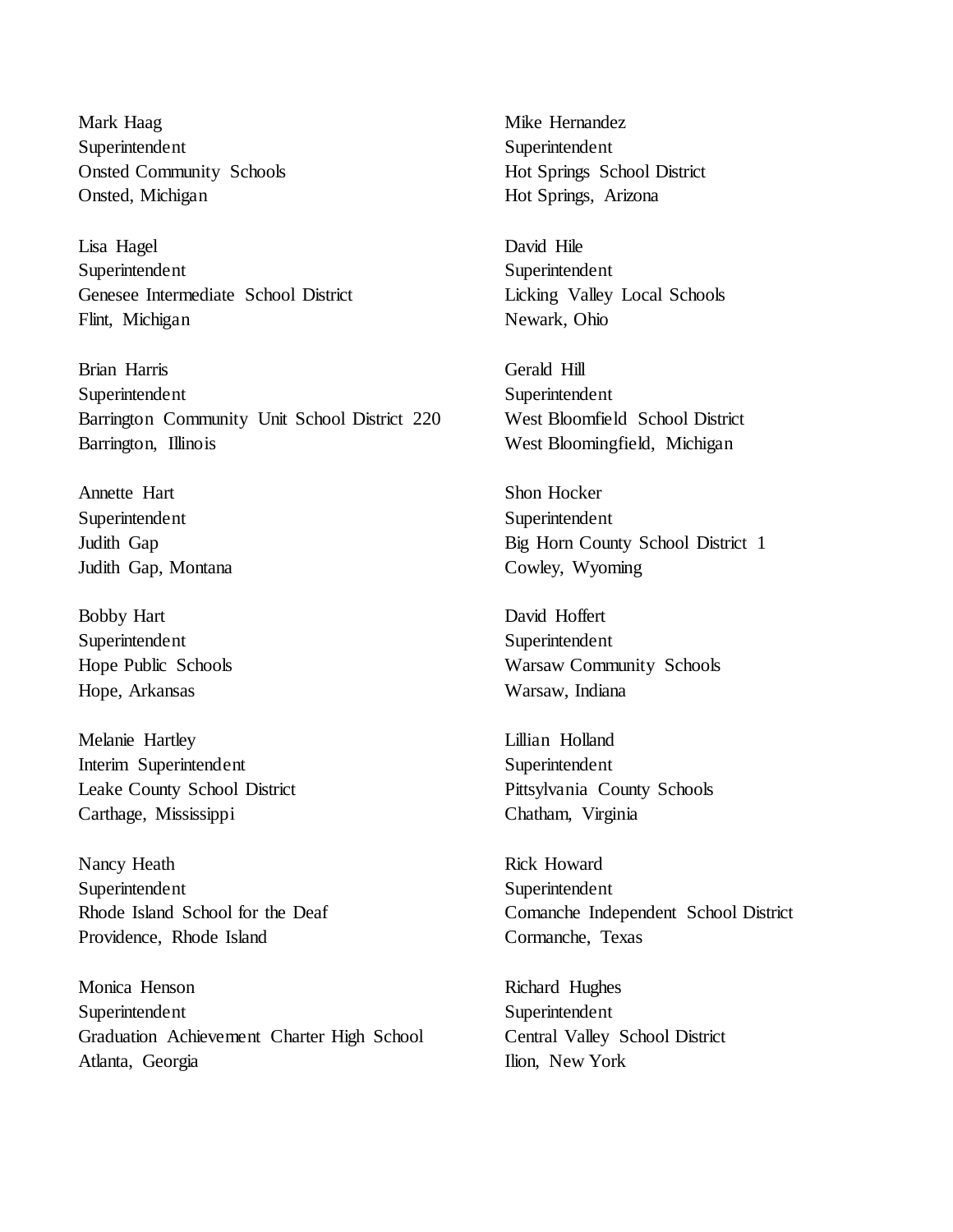Mark Haag Superintendent Onsted Community Schools Onsted, Michigan

Lisa Hagel Superintendent Genesee Intermediate School District Flint, Michigan

Brian Harris Superintendent Barrington Community Unit School District 220 Barrington, Illinois

Annette Hart Superintendent Judith Gap Judith Gap, Montana

Bobby Hart Superintendent Hope Public Schools Hope, Arkansas

Melanie Hartley Interim Superintendent Leake County School District Carthage, Mississippi

Nancy Heath Superintendent Rhode Island School for the Deaf Providence, Rhode Island

Monica Henson Superintendent Graduation Achievement Charter High School Atlanta, Georgia

Mike Hernandez Superintendent Hot Springs School District Hot Springs, Arizona

David Hile Superintendent Licking Valley Local Schools Newark, Ohio

Gerald Hill Superintendent West Bloomfield School District West Bloomingfield, Michigan

Shon Hocker Superintendent Big Horn County School District 1 Cowley, Wyoming

David Hoffert Superintendent Warsaw Community Schools Warsaw, Indiana

Lillian Holland Superintendent Pittsylvania County Schools Chatham, Virginia

Rick Howard Superintendent Comanche Independent School District Cormanche, Texas

Richard Hughes Superintendent Central Valley School District Ilion, New York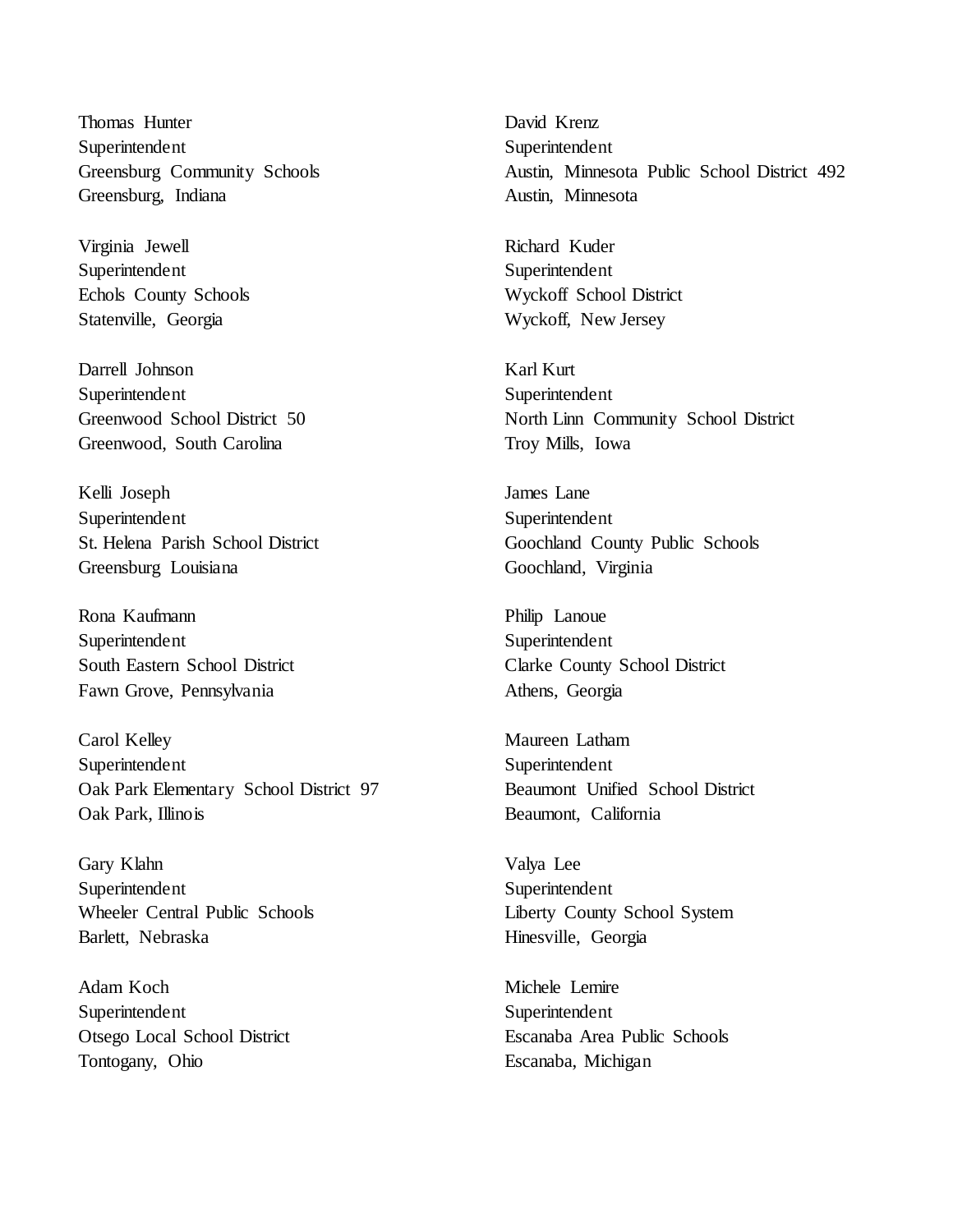Thomas Hunter Superintendent Greensburg Community Schools Greensburg, Indiana

Virginia Jewell Superintendent Echols County Schools Statenville, Georgia

Darrell Johnson Superintendent Greenwood School District 50 Greenwood, South Carolina

Kelli Joseph Superintendent St. Helena Parish School District Greensburg Louisiana

Rona Kaufmann Superintendent South Eastern School District Fawn Grove, Pennsylvania

Carol Kelley Superintendent Oak Park Elementary School District 97 Oak Park, Illinois

Gary Klahn Superintendent Wheeler Central Public Schools Barlett, Nebraska

Adam Koch Superintendent Otsego Local School District Tontogany, Ohio

David Krenz Superintendent Austin, Minnesota Public School District 492 Austin, Minnesota

Richard Kuder Superintendent Wyckoff School District Wyckoff, New Jersey

Karl Kurt Superintendent North Linn Community School District Troy Mills, Iowa

James Lane Superintendent Goochland County Public Schools Goochland, Virginia

Philip Lanoue Superintendent Clarke County School District Athens, Georgia

Maureen Latham Superintendent Beaumont Unified School District Beaumont, California

Valya Lee Superintendent Liberty County School System Hinesville, Georgia

Michele Lemire Superintendent Escanaba Area Public Schools Escanaba, Michigan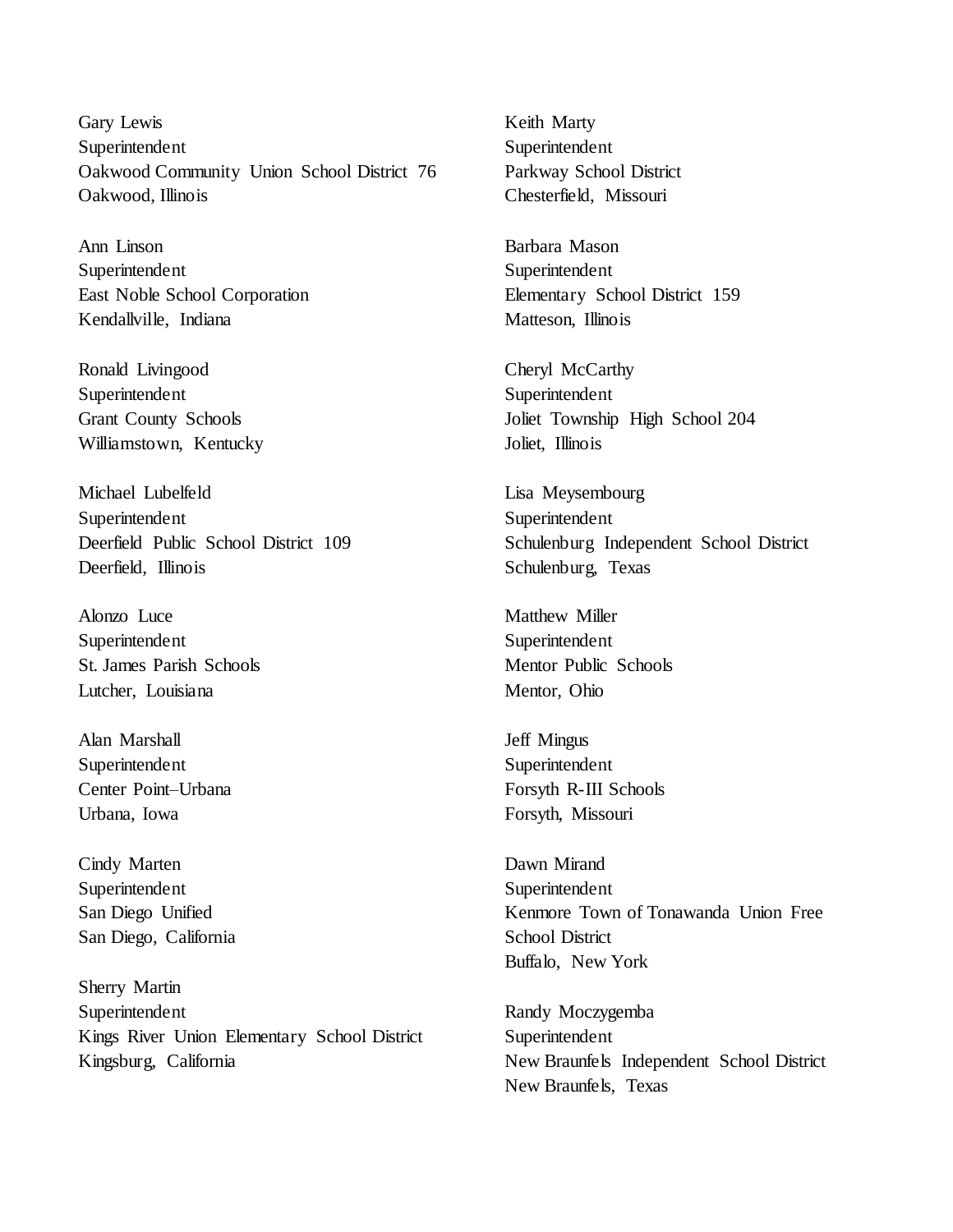Gary Lewis Superintendent Oakwood Community Union School District 76 Oakwood, Illinois

Ann Linson Superintendent East Noble School Corporation Kendallville, Indiana

Ronald Livingood Superintendent Grant County Schools Williamstown, Kentucky

Michael Lubelfeld Superintendent Deerfield Public School District 109 Deerfield, Illinois

Alonzo Luce Superintendent St. James Parish Schools Lutcher, Louisiana

Alan Marshall Superintendent Center Point–Urbana Urbana, Iowa

Cindy Marten Superintendent San Diego Unified San Diego, California

Sherry Martin Superintendent Kings River Union Elementary School District Kingsburg, California

Keith Marty Superintendent Parkway School District Chesterfield, Missouri

Barbara Mason Superintendent Elementary School District 159 Matteson, Illinois

Cheryl McCarthy Superintendent Joliet Township High School 204 Joliet, Illinois

Lisa Meysembourg Superintendent Schulenburg Independent School District Schulenburg, Texas

Matthew Miller Superintendent Mentor Public Schools Mentor, Ohio

Jeff Mingus Superintendent Forsyth R-III Schools Forsyth, Missouri

Dawn Mirand Superintendent Kenmore Town of Tonawanda Union Free School District Buffalo, New York

Randy Moczygemba Superintendent New Braunfels Independent School District New Braunfels, Texas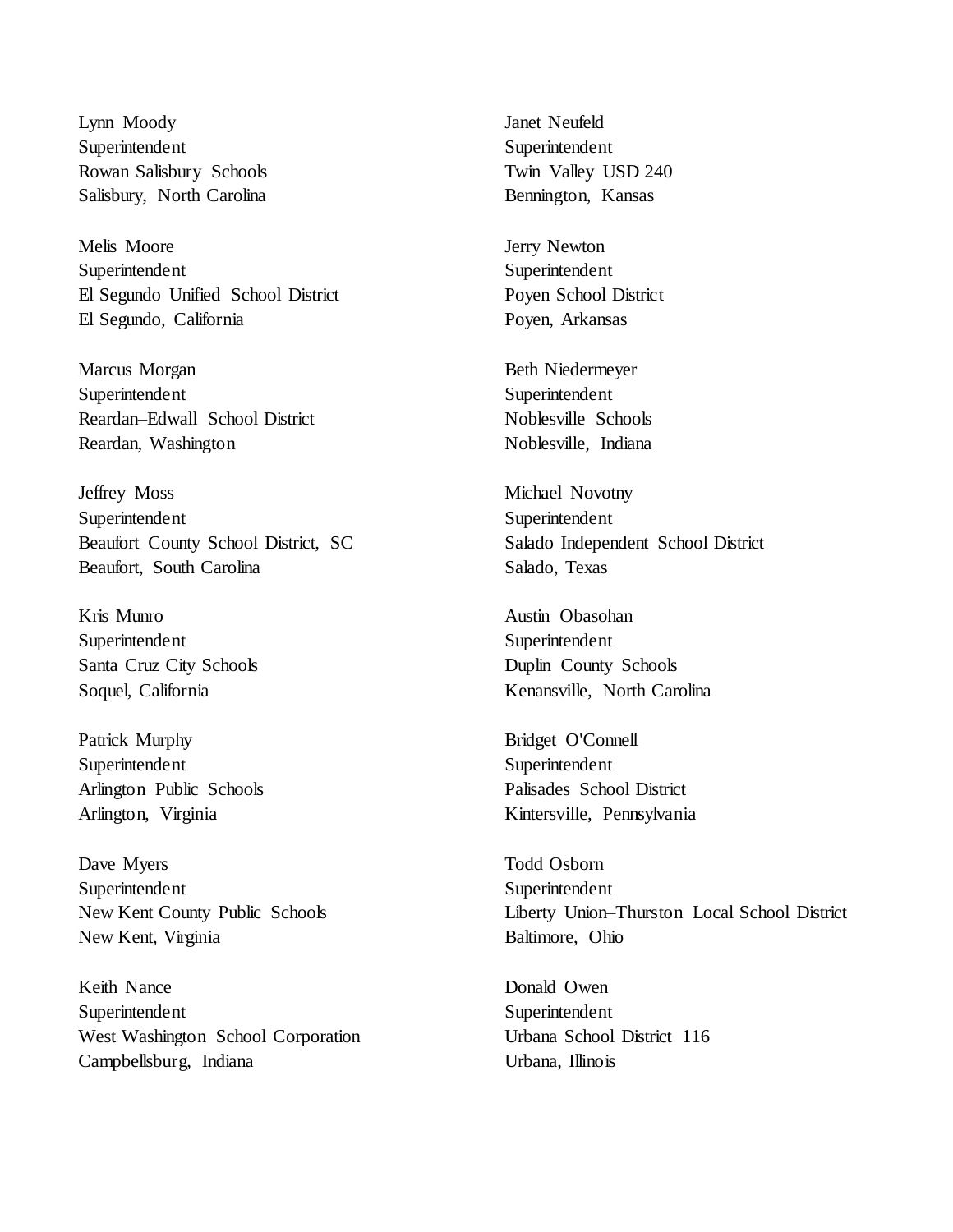Lynn Moody Superintendent Rowan Salisbury Schools Salisbury, North Carolina

Melis Moore Superintendent El Segundo Unified School District El Segundo, California

Marcus Morgan Superintendent Reardan–Edwall School District Reardan, Washington

Jeffrey Moss Superintendent Beaufort County School District, SC Beaufort, South Carolina

Kris Munro Superintendent Santa Cruz City Schools Soquel, California

Patrick Murphy Superintendent Arlington Public Schools Arlington, Virginia

Dave Myers Superintendent New Kent County Public Schools New Kent, Virginia

Keith Nance Superintendent West Washington School Corporation Campbellsburg, Indiana

Janet Neufeld Superintendent Twin Valley USD 240 Bennington, Kansas

Jerry Newton Superintendent Poyen School District Poyen, Arkansas

Beth Niedermeyer Superintendent Noblesville Schools Noblesville, Indiana

Michael Novotny Superintendent Salado Independent School District Salado, Texas

Austin Obasohan Superintendent Duplin County Schools Kenansville, North Carolina

Bridget O'Connell Superintendent Palisades School District Kintersville, Pennsylvania

Todd Osborn Superintendent Liberty Union–Thurston Local School District Baltimore, Ohio

Donald Owen Superintendent Urbana School District 116 Urbana, Illinois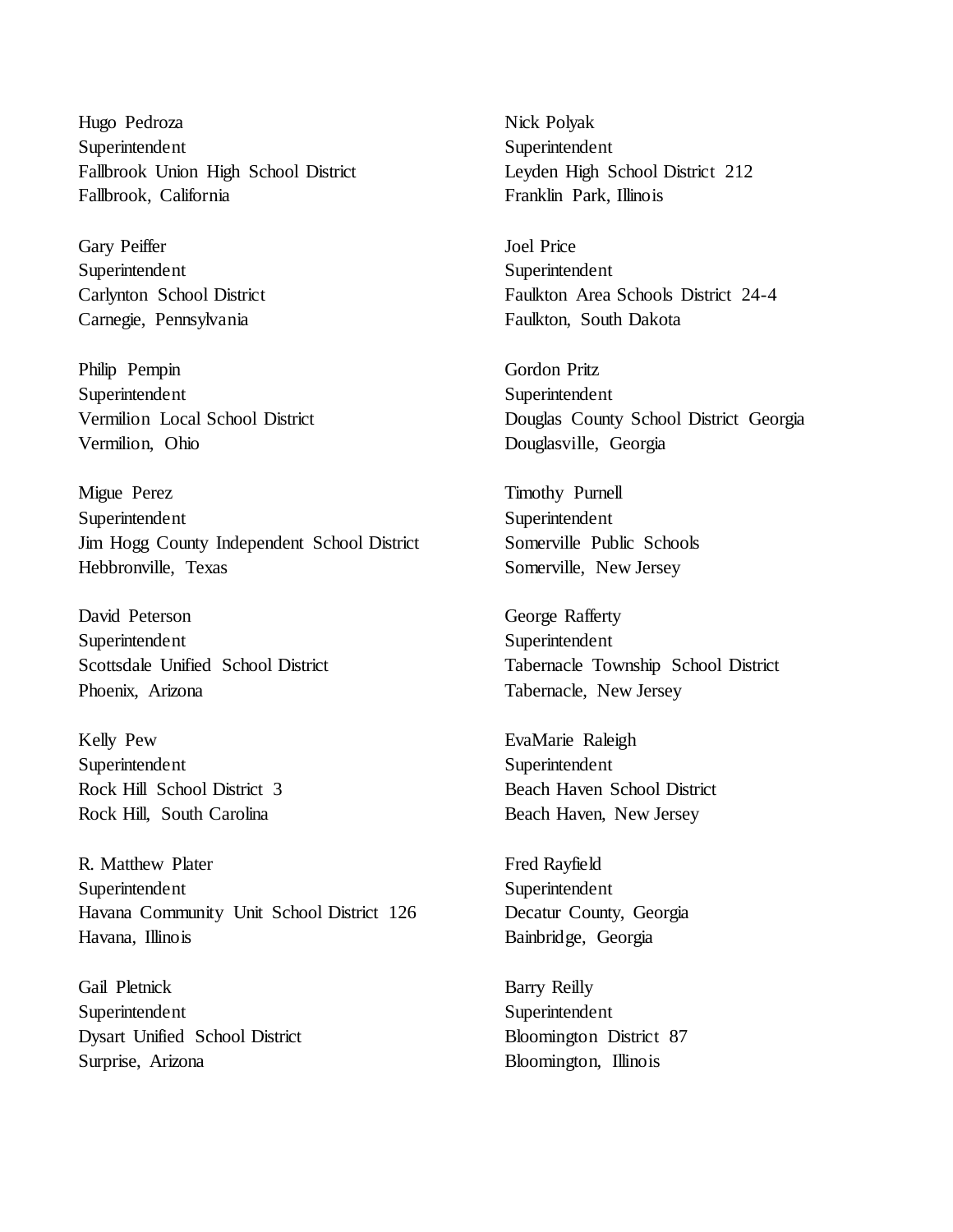Hugo Pedroza Superintendent Fallbrook Union High School District Fallbrook, California

Gary Peiffer Superintendent Carlynton School District Carnegie, Pennsylvania

Philip Pempin Superintendent Vermilion Local School District Vermilion, Ohio

Migue Perez Superintendent Jim Hogg County Independent School District Hebbronville, Texas

David Peterson Superintendent Scottsdale Unified School District Phoenix, Arizona

Kelly Pew Superintendent Rock Hill School District 3 Rock Hill, South Carolina

R. Matthew Plater Superintendent Havana Community Unit School District 126 Havana, Illinois

Gail Pletnick Superintendent Dysart Unified School District Surprise, Arizona

Nick Polyak Superintendent Leyden High School District 212 Franklin Park, Illinois

Joel Price Superintendent Faulkton Area Schools District 24-4 Faulkton, South Dakota

Gordon Pritz Superintendent Douglas County School District Georgia Douglasville, Georgia

Timothy Purnell Superintendent Somerville Public Schools Somerville, New Jersey

George Rafferty Superintendent Tabernacle Township School District Tabernacle, New Jersey

EvaMarie Raleigh Superintendent Beach Haven School District Beach Haven, New Jersey

Fred Rayfield Superintendent Decatur County, Georgia Bainbridge, Georgia

Barry Reilly Superintendent Bloomington District 87 Bloomington, Illinois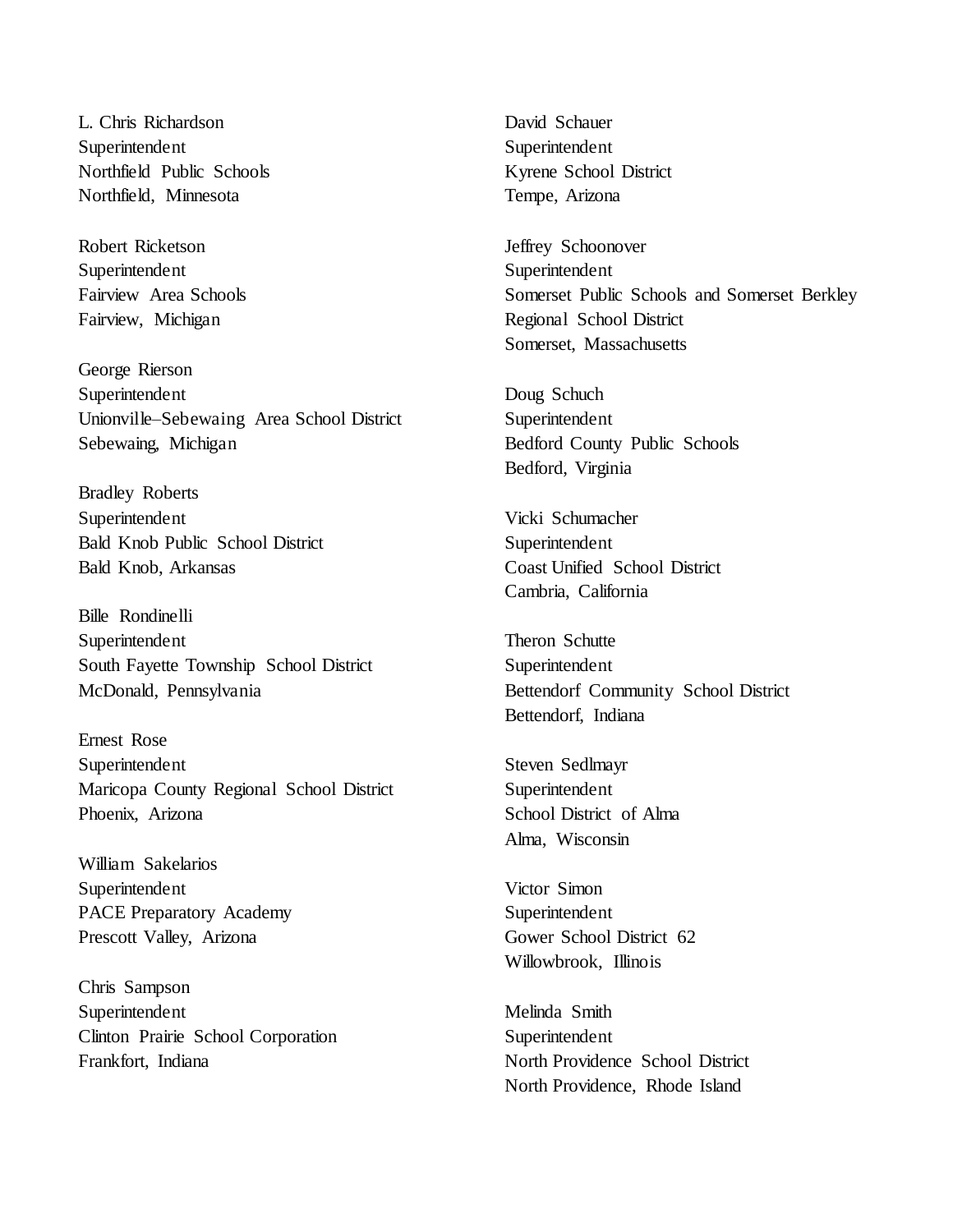L. Chris Richardson Superintendent Northfield Public Schools Northfield, Minnesota

Robert Ricketson Superintendent Fairview Area Schools Fairview, Michigan

George Rierson Superintendent Unionville–Sebewaing Area School District Sebewaing, Michigan

Bradley Roberts Superintendent Bald Knob Public School District Bald Knob, Arkansas

Bille Rondinelli Superintendent South Fayette Township School District McDonald, Pennsylvania

Ernest Rose Superintendent Maricopa County Regional School District Phoenix, Arizona

William Sakelarios Superintendent PACE Preparatory Academy Prescott Valley, Arizona

Chris Sampson Superintendent Clinton Prairie School Corporation Frankfort, Indiana

David Schauer Superintendent Kyrene School District Tempe, Arizona

Jeffrey Schoonover Superintendent Somerset Public Schools and Somerset Berkley Regional School District Somerset, Massachusetts

Doug Schuch Superintendent Bedford County Public Schools Bedford, Virginia

Vicki Schumacher Superintendent Coast Unified School District Cambria, California

Theron Schutte Superintendent Bettendorf Community School District Bettendorf, Indiana

Steven Sedlmayr Superintendent School District of Alma Alma, Wisconsin

Victor Simon Superintendent Gower School District 62 Willowbrook, Illinois

Melinda Smith Superintendent North Providence School District North Providence, Rhode Island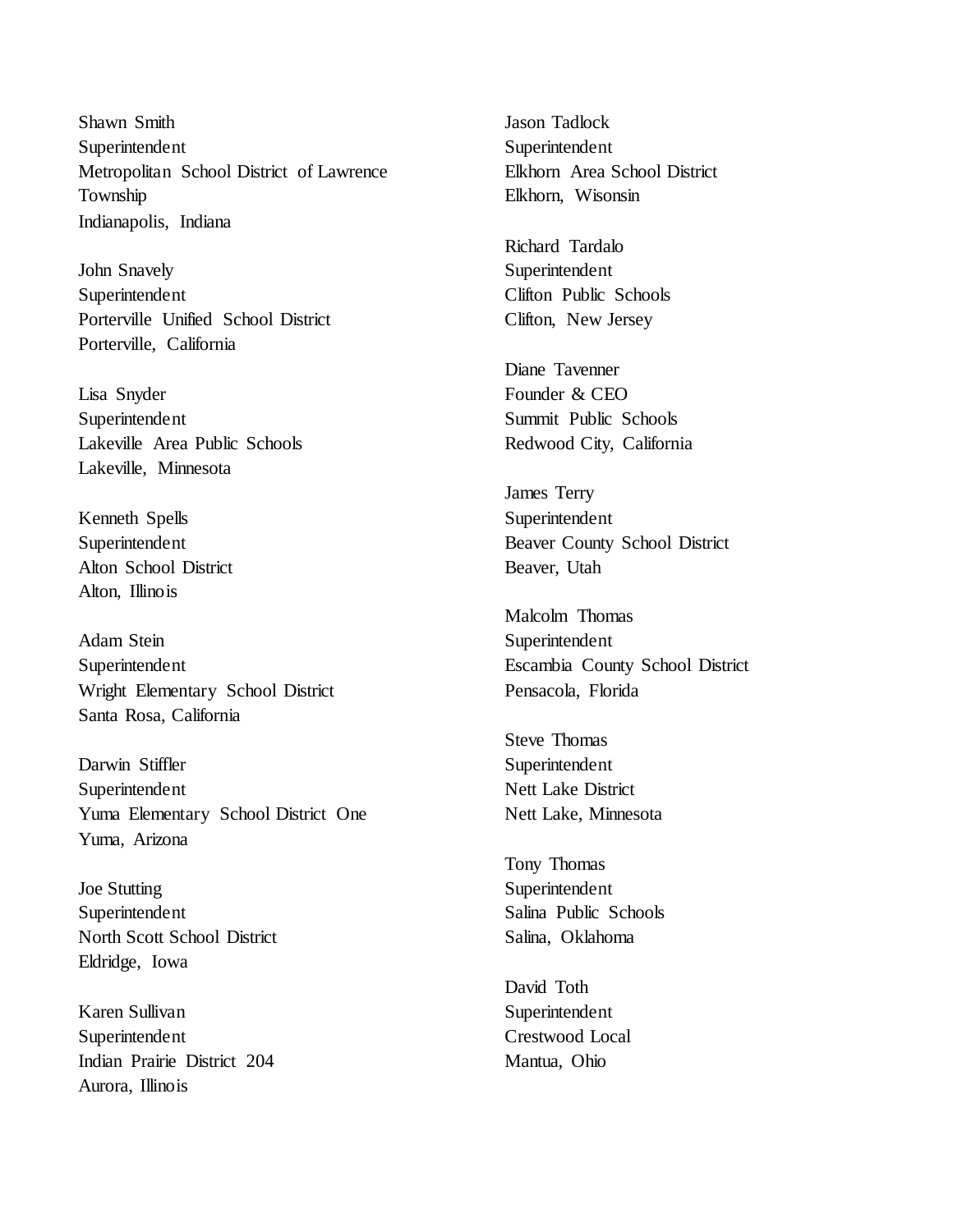Shawn Smith Superintendent Metropolitan School District of Lawrence Township Indianapolis, Indiana

John Snavely Superintendent Porterville Unified School District Porterville, California

Lisa Snyder Superintendent Lakeville Area Public Schools Lakeville, Minnesota

Kenneth Spells Superintendent Alton School District Alton, Illinois

Adam Stein Superintendent Wright Elementary School District Santa Rosa, California

Darwin Stiffler Superintendent Yuma Elementary School District One Yuma, Arizona

Joe Stutting Superintendent North Scott School District Eldridge, Iowa

Karen Sullivan Superintendent Indian Prairie District 204 Aurora, Illinois

Jason Tadlock Superintendent Elkhorn Area School District Elkhorn, Wisonsin

Richard Tardalo Superintendent Clifton Public Schools Clifton, New Jersey

Diane Tavenner Founder & CEO Summit Public Schools Redwood City, California

James Terry Superintendent Beaver County School District Beaver, Utah

Malcolm Thomas Superintendent Escambia County School District Pensacola, Florida

Steve Thomas Superintendent Nett Lake District Nett Lake, Minnesota

Tony Thomas Superintendent Salina Public Schools Salina, Oklahoma

David Toth Superintendent Crestwood Local Mantua, Ohio